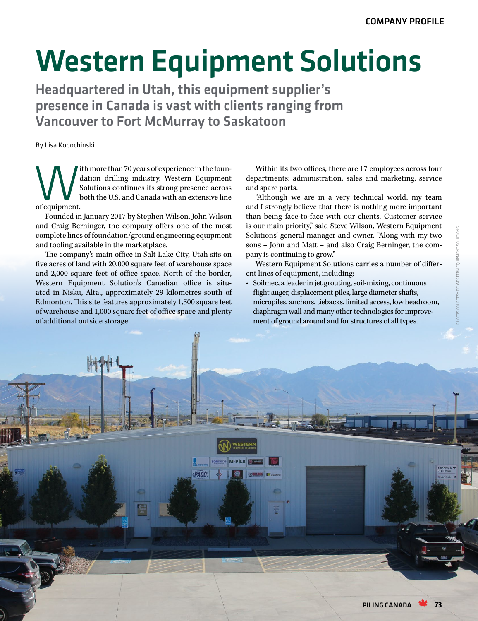## Western Equipment Solutions

Headquartered in Utah, this equipment supplier's presence in Canada is vast with clients ranging from Vancouver to Fort McMurray to Saskatoon

By Lisa Kopochinski

Ith more than 70 years of experience in the foun-<br>dation drilling industry, Western Equipment<br>Solutions continues its strong presence across<br>of equipment. dation drilling industry, Western Equipment Solutions continues its strong presence across both the U.S. and Canada with an extensive line of equipment.

Founded in January 2017 by Stephen Wilson, John Wilson and Craig Berninger, the company offers one of the most complete lines of foundation/ground engineering equipment and tooling available in the marketplace.

The company's main office in Salt Lake City, Utah sits on five acres of land with 20,000 square feet of warehouse space and 2,000 square feet of office space. North of the border, Western Equipment Solution's Canadian office is situated in Nisku, Alta., approximately 29 kilometres south of Edmonton. This site features approximately 1,500 square feet of warehouse and 1,000 square feet of office space and plenty of additional outside storage.

Within its two offices, there are 17 employees across four departments: administration, sales and marketing, service and spare parts.

"Although we are in a very technical world, my team and I strongly believe that there is nothing more important than being face-to-face with our clients. Customer service is our main priority," said Steve Wilson, Western Equipment Solutions' general manager and owner. "Along with my two sons – John and Matt – and also Craig Berninger, the company is continuing to grow."

Western Equipment Solutions carries a number of different lines of equipment, including:

• Soilmec, a leader in jet grouting, soil-mixing, continuous flight auger, displacement piles, large diameter shafts, micropiles, anchors, tiebacks, limited access, low headroom, diaphragm wall and many other technologies for improvement of ground around and for structures of all types.

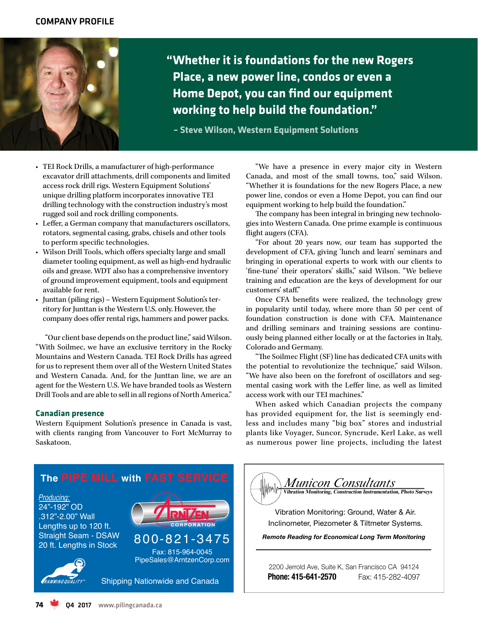

**"Whether it is foundations for the new Rogers Place, a new power line, condos or even a Home Depot, you can find our equipment working to help build the foundation."**

**– Steve Wilson, Western Equipment Solutions**

- TEI Rock Drills, a manufacturer of high-performance excavator drill attachments, drill components and limited access rock drill rigs. Western Equipment Solutions' unique drilling platform incorporates innovative TEI drilling technology with the construction industry's most rugged soil and rock drilling components.
- Leffer, a German company that manufacturers oscillators, rotators, segmental casing, grabs, chisels and other tools to perform specific technologies.
- Wilson Drill Tools, which offers specialty large and small diameter tooling equipment, as well as high-end hydraulic oils and grease. WDT also has a comprehensive inventory of ground improvement equipment, tools and equipment available for rent.
- Junttan (piling rigs) Western Equipment Solution's territory for Junttan is the Western U.S. only. However, the company does offer rental rigs, hammers and power packs.

"Our client base depends on the product line," said Wilson. "With Soilmec, we have an exclusive territory in the Rocky Mountains and Western Canada. TEI Rock Drills has agreed for us to represent them over all of the Western United States and Western Canada. And, for the Junttan line, we are an agent for the Western U.S. We have branded tools as Western Drill Tools and are able to sell in all regions of North America."

## **Canadian presence**

Western Equipment Solution's presence in Canada is vast, with clients ranging from Vancouver to Fort McMurray to Saskatoon.

"We have a presence in every major city in Western Canada, and most of the small towns, too," said Wilson. "Whether it is foundations for the new Rogers Place, a new power line, condos or even a Home Depot, you can find our equipment working to help build the foundation."

The company has been integral in bringing new technologies into Western Canada. One prime example is continuous flight augers (CFA).

"For about 20 years now, our team has supported the development of CFA, giving 'lunch and learn' seminars and bringing in operational experts to work with our clients to 'fine-tune' their operators' skills," said Wilson. "We believe training and education are the keys of development for our customers' staff."

Once CFA benefits were realized, the technology grew in popularity until today, where more than 50 per cent of foundation construction is done with CFA. Maintenance and drilling seminars and training sessions are continuously being planned either locally or at the factories in Italy, Colorado and Germany.

"The Soilmec Flight (SF) line has dedicated CFA units with the potential to revolutionize the technique," said Wilson. "We have also been on the forefront of oscillators and segmental casing work with the Leffer line, as well as limited access work with our TEI machines."

When asked which Canadian projects the company has provided equipment for, the list is seemingly endless and includes many "big box" stores and industrial plants like Voyager, Suncor, Syncrude, Kerl Lake, as well as numerous power line projects, including the latest